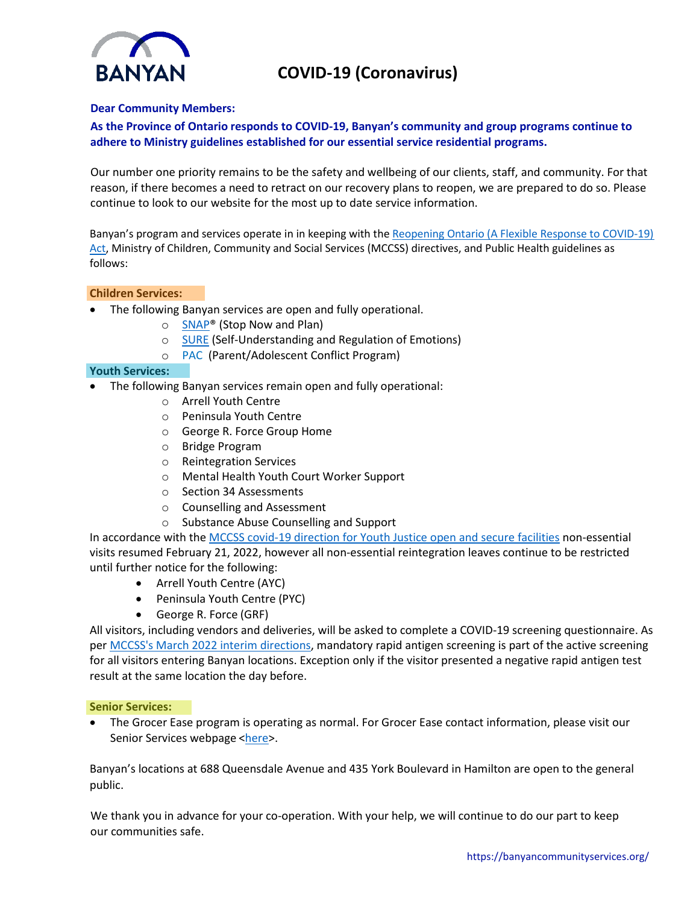



# **Dear Community Members:**

# **As the Province of Ontario responds to COVID-19, Banyan's community and group programs continue to adhere to Ministry guidelines established for our essential service residential programs.**

Our number one priority remains to be the safety and wellbeing of our clients, staff, and community. For that reason, if there becomes a need to retract on our recovery plans to reopen, we are prepared to do so. Please continue to look to our website for the most up to date service information.

Banyan's program and services operate in in keeping with the Reopening Ontario (A Flexible Response to COVID-19) Act, Ministry of Children, Community and Social Services (MCCSS) directives, and Public Health guidelines as follows:

## **Children Services:**

- The following Banyan services are open and fully operational.
	- o **SNAP<sup>®</sup>** (Stop Now and Plan)
	- o SURE (Self-Understanding and Regulation of Emotions)
	- o PAC (Parent/Adolescent Conflict Program)

## **Youth Services:**

- The following Banyan services remain open and fully operational:
	- o Arrell Youth Centre
	- o Peninsula Youth Centre
	- o George R. Force Group Home
	- o Bridge Program
	- o Reintegration Services
	- o Mental Health Youth Court Worker Support
	- o Section 34 Assessments
	- o Counselling and Assessment
	- o Substance Abuse Counselling and Support

In accordance with the MCCSS covid-19 direction for Youth Justice open and secure facilities non-essential visits resumed February 21, 2022, however all non-essential reintegration leaves continue to be restricted until further notice for the following:

- Arrell Youth Centre (AYC)
- Peninsula Youth Centre (PYC)
- George R. Force (GRF)

All visitors, including vendors and deliveries, will be asked to complete a COVID-19 screening questionnaire. As per MCCSS's March 2022 interim directions, mandatory rapid antigen screening is part of the active screening for all visitors entering Banyan locations. Exception only if the visitor presented a negative rapid antigen test result at the same location the day before.

#### **Senior Services:**

• The Grocer Ease program is operating as normal. For Grocer Ease contact information, please visit our Senior Services webpage <here>.

Banyan's locations at 688 Queensdale Avenue and 435 York Boulevard in Hamilton are open to the general public.

We thank you in advance for your co-operation. With your help, we will continue to do our part to keep our communities safe.